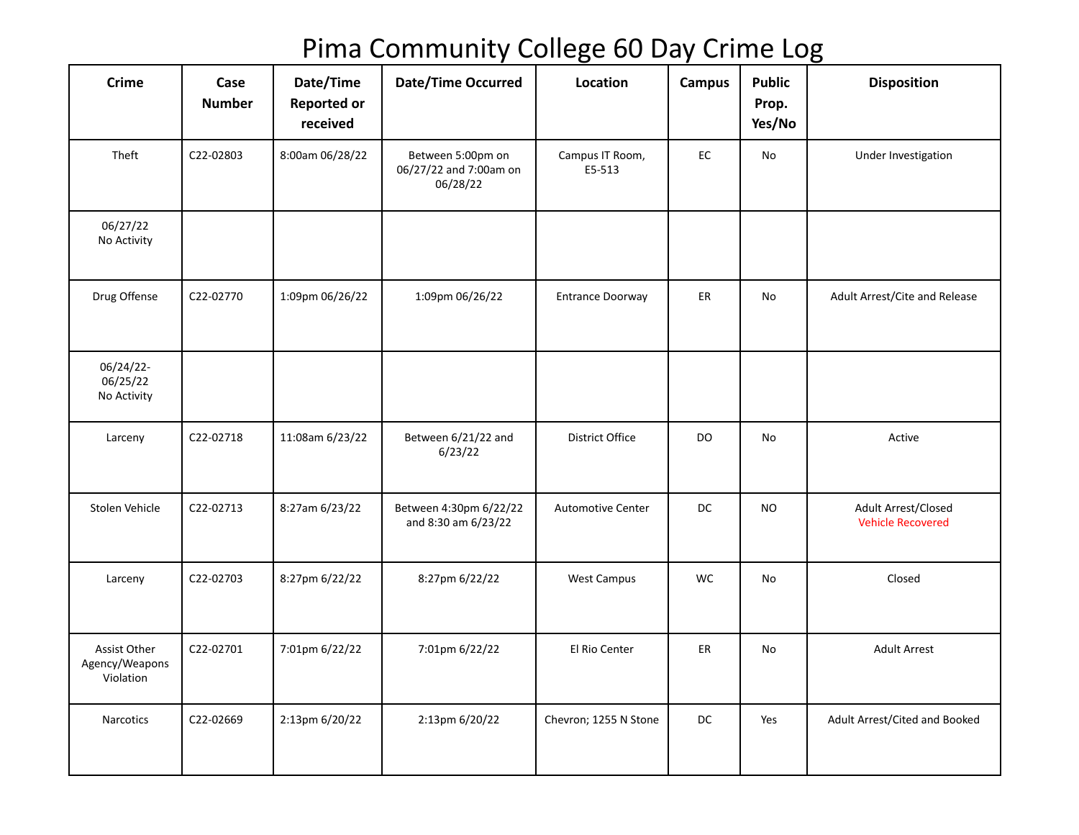## Pima Community College 60 Day Crime Log

| <b>Crime</b>                                | Case<br><b>Number</b> | Date/Time<br><b>Reported or</b><br>received | Date/Time Occurred                                      | Location                  | <b>Campus</b> | <b>Public</b><br>Prop.<br>Yes/No | <b>Disposition</b>                              |
|---------------------------------------------|-----------------------|---------------------------------------------|---------------------------------------------------------|---------------------------|---------------|----------------------------------|-------------------------------------------------|
| Theft                                       | C22-02803             | 8:00am 06/28/22                             | Between 5:00pm on<br>06/27/22 and 7:00am on<br>06/28/22 | Campus IT Room,<br>E5-513 | $\mathsf{EC}$ | No                               | Under Investigation                             |
| 06/27/22<br>No Activity                     |                       |                                             |                                                         |                           |               |                                  |                                                 |
| Drug Offense                                | C22-02770             | 1:09pm 06/26/22                             | 1:09pm 06/26/22                                         | <b>Entrance Doorway</b>   | ER            | No                               | Adult Arrest/Cite and Release                   |
| $06/24/22$ -<br>06/25/22<br>No Activity     |                       |                                             |                                                         |                           |               |                                  |                                                 |
| Larceny                                     | C22-02718             | 11:08am 6/23/22                             | Between 6/21/22 and<br>6/23/22                          | District Office           | DO            | No                               | Active                                          |
| Stolen Vehicle                              | C22-02713             | 8:27am 6/23/22                              | Between 4:30pm 6/22/22<br>and 8:30 am 6/23/22           | <b>Automotive Center</b>  | <b>DC</b>     | <b>NO</b>                        | Adult Arrest/Closed<br><b>Vehicle Recovered</b> |
| Larceny                                     | C22-02703             | 8:27pm 6/22/22                              | 8:27pm 6/22/22                                          | <b>West Campus</b>        | <b>WC</b>     | No                               | Closed                                          |
| Assist Other<br>Agency/Weapons<br>Violation | C22-02701             | 7:01pm 6/22/22                              | 7:01pm 6/22/22                                          | El Rio Center             | ER            | No                               | <b>Adult Arrest</b>                             |
| Narcotics                                   | C22-02669             | 2:13pm 6/20/22                              | 2:13pm 6/20/22                                          | Chevron; 1255 N Stone     | <b>DC</b>     | Yes                              | Adult Arrest/Cited and Booked                   |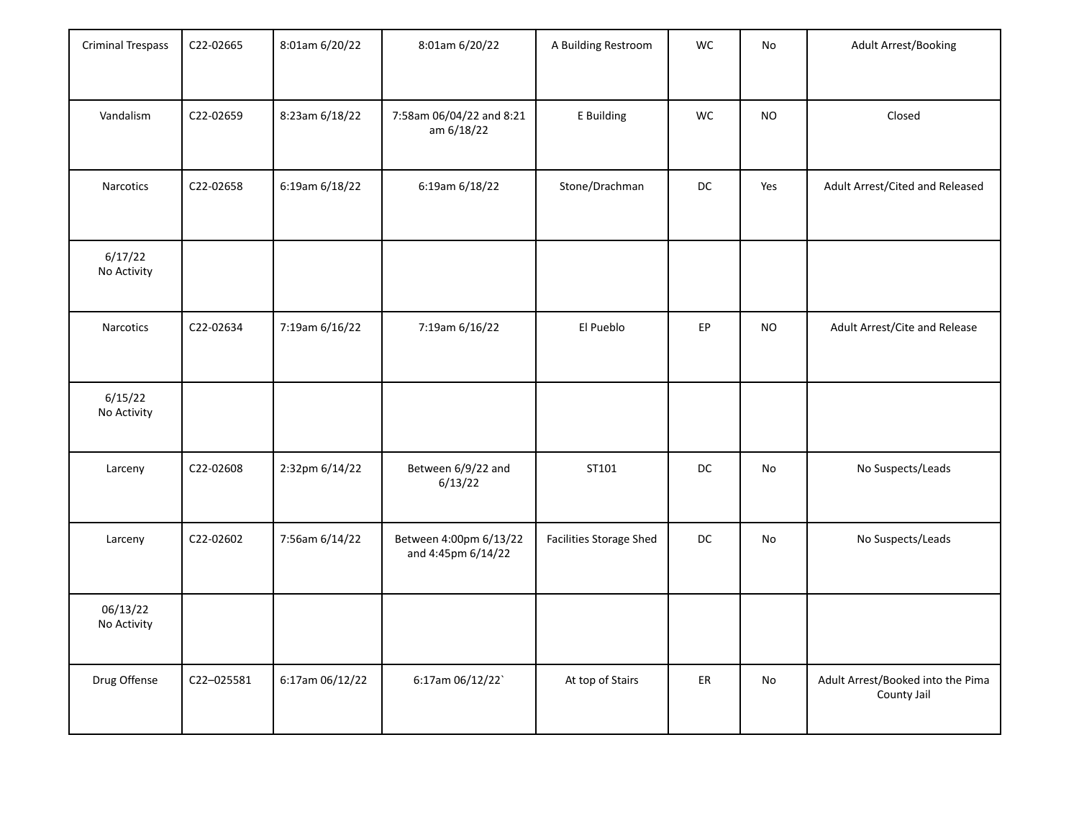| <b>Criminal Trespass</b> | C22-02665  | 8:01am 6/20/22  | 8:01am 6/20/22                               | A Building Restroom     | WC        | No        | <b>Adult Arrest/Booking</b>                      |
|--------------------------|------------|-----------------|----------------------------------------------|-------------------------|-----------|-----------|--------------------------------------------------|
| Vandalism                | C22-02659  | 8:23am 6/18/22  | 7:58am 06/04/22 and 8:21<br>am 6/18/22       | E Building              | WC        | <b>NO</b> | Closed                                           |
| Narcotics                | C22-02658  | 6:19am 6/18/22  | 6:19am 6/18/22                               | Stone/Drachman          | DC        | Yes       | Adult Arrest/Cited and Released                  |
| 6/17/22<br>No Activity   |            |                 |                                              |                         |           |           |                                                  |
| Narcotics                | C22-02634  | 7:19am 6/16/22  | 7:19am 6/16/22                               | El Pueblo               | EP        | <b>NO</b> | Adult Arrest/Cite and Release                    |
| 6/15/22<br>No Activity   |            |                 |                                              |                         |           |           |                                                  |
| Larceny                  | C22-02608  | 2:32pm 6/14/22  | Between 6/9/22 and<br>6/13/22                | ST101                   | DC        | No        | No Suspects/Leads                                |
| Larceny                  | C22-02602  | 7:56am 6/14/22  | Between 4:00pm 6/13/22<br>and 4:45pm 6/14/22 | Facilities Storage Shed | <b>DC</b> | No        | No Suspects/Leads                                |
| 06/13/22<br>No Activity  |            |                 |                                              |                         |           |           |                                                  |
| Drug Offense             | C22-025581 | 6:17am 06/12/22 | 6:17am 06/12/22`                             | At top of Stairs        | ER        | No        | Adult Arrest/Booked into the Pima<br>County Jail |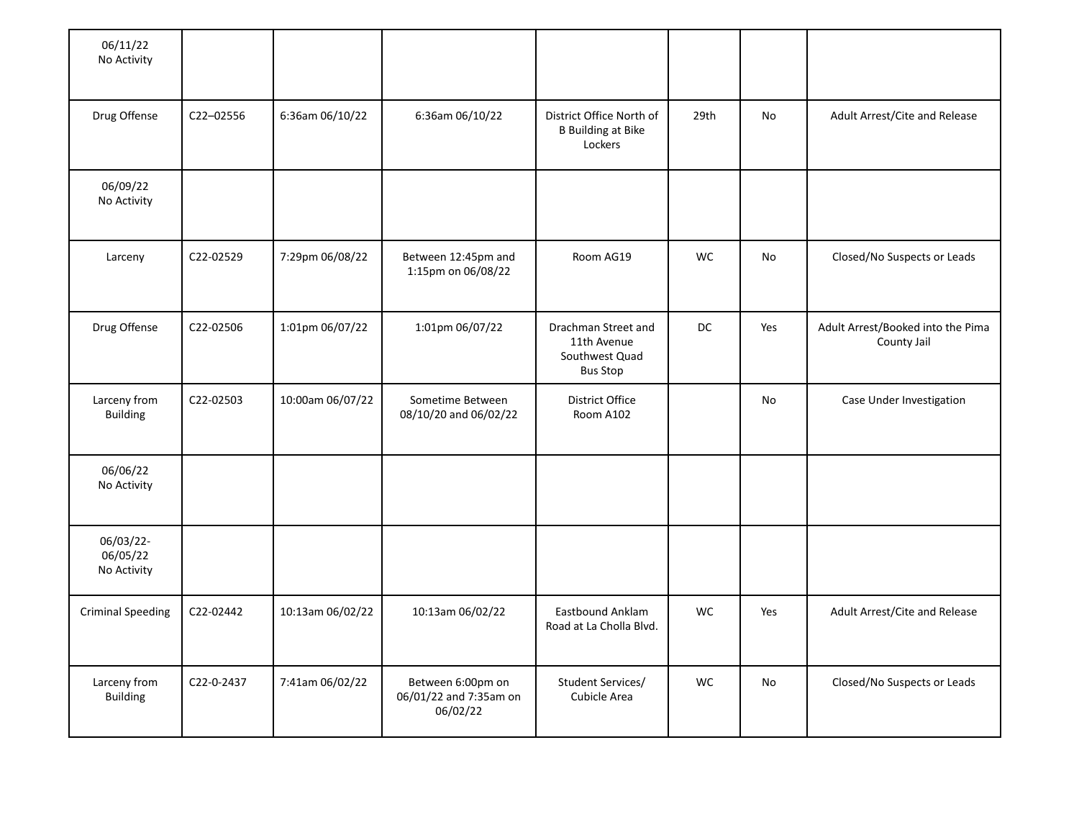| 06/11/22<br>No Activity              |            |                  |                                                         |                                                                         |           |     |                                                  |
|--------------------------------------|------------|------------------|---------------------------------------------------------|-------------------------------------------------------------------------|-----------|-----|--------------------------------------------------|
| Drug Offense                         | C22-02556  | 6:36am 06/10/22  | 6:36am 06/10/22                                         | District Office North of<br><b>B</b> Building at Bike<br>Lockers        | 29th      | No  | Adult Arrest/Cite and Release                    |
| 06/09/22<br>No Activity              |            |                  |                                                         |                                                                         |           |     |                                                  |
| Larceny                              | C22-02529  | 7:29pm 06/08/22  | Between 12:45pm and<br>1:15pm on 06/08/22               | Room AG19                                                               | <b>WC</b> | No  | Closed/No Suspects or Leads                      |
| Drug Offense                         | C22-02506  | 1:01pm 06/07/22  | 1:01pm 06/07/22                                         | Drachman Street and<br>11th Avenue<br>Southwest Quad<br><b>Bus Stop</b> | DC        | Yes | Adult Arrest/Booked into the Pima<br>County Jail |
| Larceny from<br><b>Building</b>      | C22-02503  | 10:00am 06/07/22 | Sometime Between<br>08/10/20 and 06/02/22               | District Office<br>Room A102                                            |           | No  | Case Under Investigation                         |
| 06/06/22<br>No Activity              |            |                  |                                                         |                                                                         |           |     |                                                  |
| 06/03/22-<br>06/05/22<br>No Activity |            |                  |                                                         |                                                                         |           |     |                                                  |
| <b>Criminal Speeding</b>             | C22-02442  | 10:13am 06/02/22 | 10:13am 06/02/22                                        | Eastbound Anklam<br>Road at La Cholla Blvd.                             | <b>WC</b> | Yes | Adult Arrest/Cite and Release                    |
| Larceny from<br><b>Building</b>      | C22-0-2437 | 7:41am 06/02/22  | Between 6:00pm on<br>06/01/22 and 7:35am on<br>06/02/22 | Student Services/<br>Cubicle Area                                       | <b>WC</b> | No  | Closed/No Suspects or Leads                      |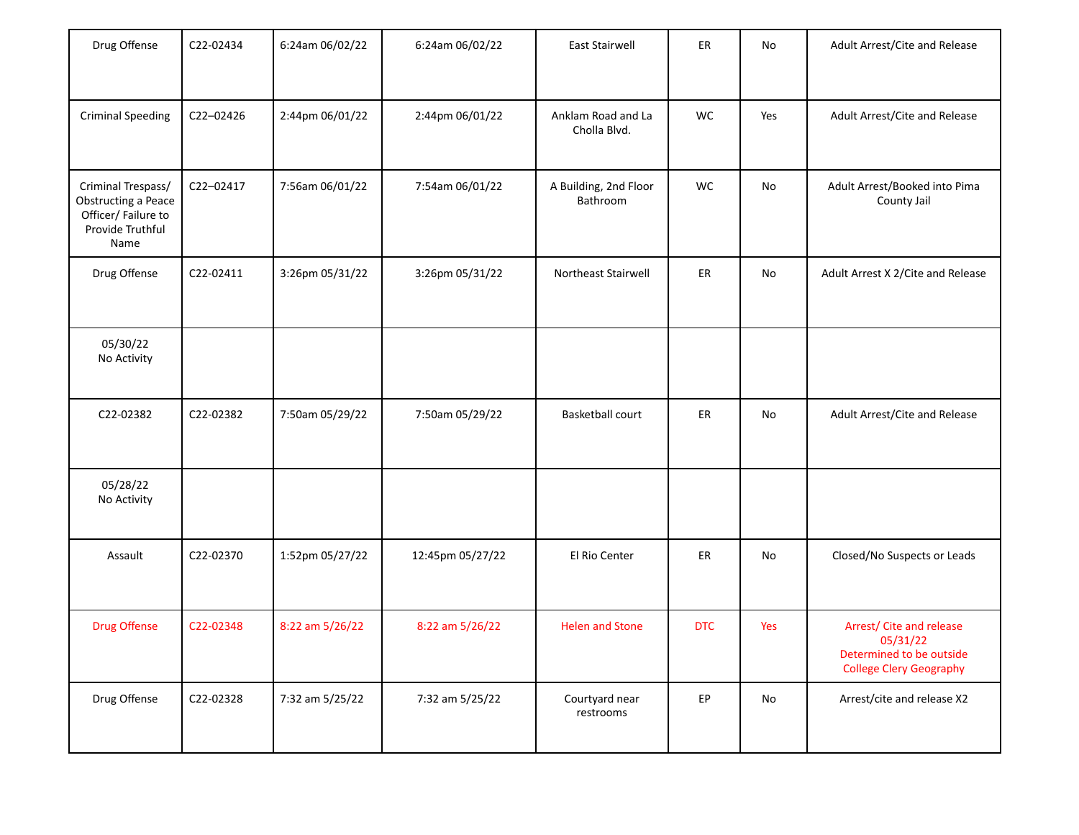| Drug Offense                                                                                | C22-02434 | 6:24am 06/02/22 | 6:24am 06/02/22  | East Stairwell                     | ER         | No  | Adult Arrest/Cite and Release                                                                      |
|---------------------------------------------------------------------------------------------|-----------|-----------------|------------------|------------------------------------|------------|-----|----------------------------------------------------------------------------------------------------|
| <b>Criminal Speeding</b>                                                                    | C22-02426 | 2:44pm 06/01/22 | 2:44pm 06/01/22  | Anklam Road and La<br>Cholla Blvd. | WC         | Yes | Adult Arrest/Cite and Release                                                                      |
| Criminal Trespass/<br>Obstructing a Peace<br>Officer/Failure to<br>Provide Truthful<br>Name | C22-02417 | 7:56am 06/01/22 | 7:54am 06/01/22  | A Building, 2nd Floor<br>Bathroom  | WC         | No  | Adult Arrest/Booked into Pima<br>County Jail                                                       |
| Drug Offense                                                                                | C22-02411 | 3:26pm 05/31/22 | 3:26pm 05/31/22  | Northeast Stairwell                | ER         | No  | Adult Arrest X 2/Cite and Release                                                                  |
| 05/30/22<br>No Activity                                                                     |           |                 |                  |                                    |            |     |                                                                                                    |
| C22-02382                                                                                   | C22-02382 | 7:50am 05/29/22 | 7:50am 05/29/22  | <b>Basketball court</b>            | ER         | No  | Adult Arrest/Cite and Release                                                                      |
| 05/28/22<br>No Activity                                                                     |           |                 |                  |                                    |            |     |                                                                                                    |
| Assault                                                                                     | C22-02370 | 1:52pm 05/27/22 | 12:45pm 05/27/22 | El Rio Center                      | ER         | No  | Closed/No Suspects or Leads                                                                        |
| <b>Drug Offense</b>                                                                         | C22-02348 | 8:22 am 5/26/22 | 8:22 am 5/26/22  | <b>Helen and Stone</b>             | <b>DTC</b> | Yes | Arrest/ Cite and release<br>05/31/22<br>Determined to be outside<br><b>College Clery Geography</b> |
| Drug Offense                                                                                | C22-02328 | 7:32 am 5/25/22 | 7:32 am 5/25/22  | Courtyard near<br>restrooms        | EP         | No  | Arrest/cite and release X2                                                                         |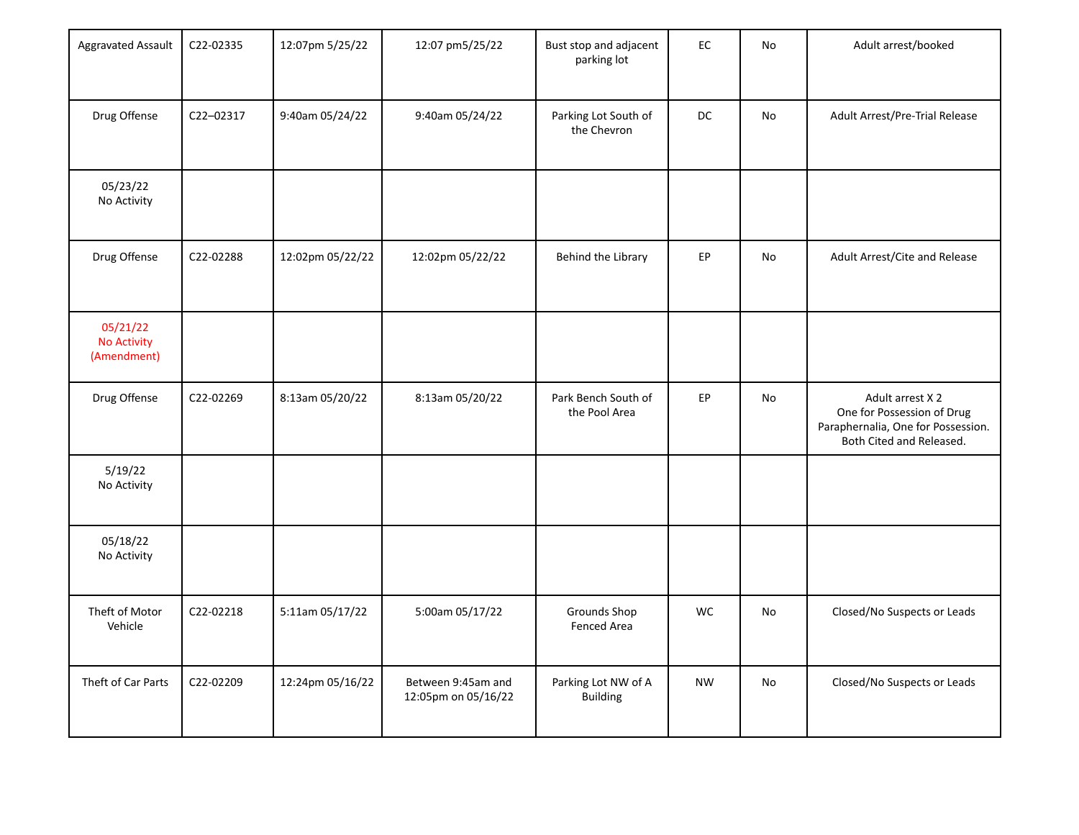| Aggravated Assault                            | C22-02335 | 12:07pm 5/25/22  | 12:07 pm5/25/22                           | Bust stop and adjacent<br>parking lot  | EC        | No | Adult arrest/booked                                                                                              |
|-----------------------------------------------|-----------|------------------|-------------------------------------------|----------------------------------------|-----------|----|------------------------------------------------------------------------------------------------------------------|
| Drug Offense                                  | C22-02317 | 9:40am 05/24/22  | 9:40am 05/24/22                           | Parking Lot South of<br>the Chevron    | DC        | No | Adult Arrest/Pre-Trial Release                                                                                   |
| 05/23/22<br>No Activity                       |           |                  |                                           |                                        |           |    |                                                                                                                  |
| Drug Offense                                  | C22-02288 | 12:02pm 05/22/22 | 12:02pm 05/22/22                          | Behind the Library                     | EP        | No | Adult Arrest/Cite and Release                                                                                    |
| 05/21/22<br><b>No Activity</b><br>(Amendment) |           |                  |                                           |                                        |           |    |                                                                                                                  |
| Drug Offense                                  | C22-02269 | 8:13am 05/20/22  | 8:13am 05/20/22                           | Park Bench South of<br>the Pool Area   | EP        | No | Adult arrest X 2<br>One for Possession of Drug<br>Paraphernalia, One for Possession.<br>Both Cited and Released. |
| 5/19/22<br>No Activity                        |           |                  |                                           |                                        |           |    |                                                                                                                  |
| 05/18/22<br>No Activity                       |           |                  |                                           |                                        |           |    |                                                                                                                  |
| Theft of Motor<br>Vehicle                     | C22-02218 | 5:11am 05/17/22  | 5:00am 05/17/22                           | Grounds Shop<br>Fenced Area            | WC        | No | Closed/No Suspects or Leads                                                                                      |
| Theft of Car Parts                            | C22-02209 | 12:24pm 05/16/22 | Between 9:45am and<br>12:05pm on 05/16/22 | Parking Lot NW of A<br><b>Building</b> | <b>NW</b> | No | Closed/No Suspects or Leads                                                                                      |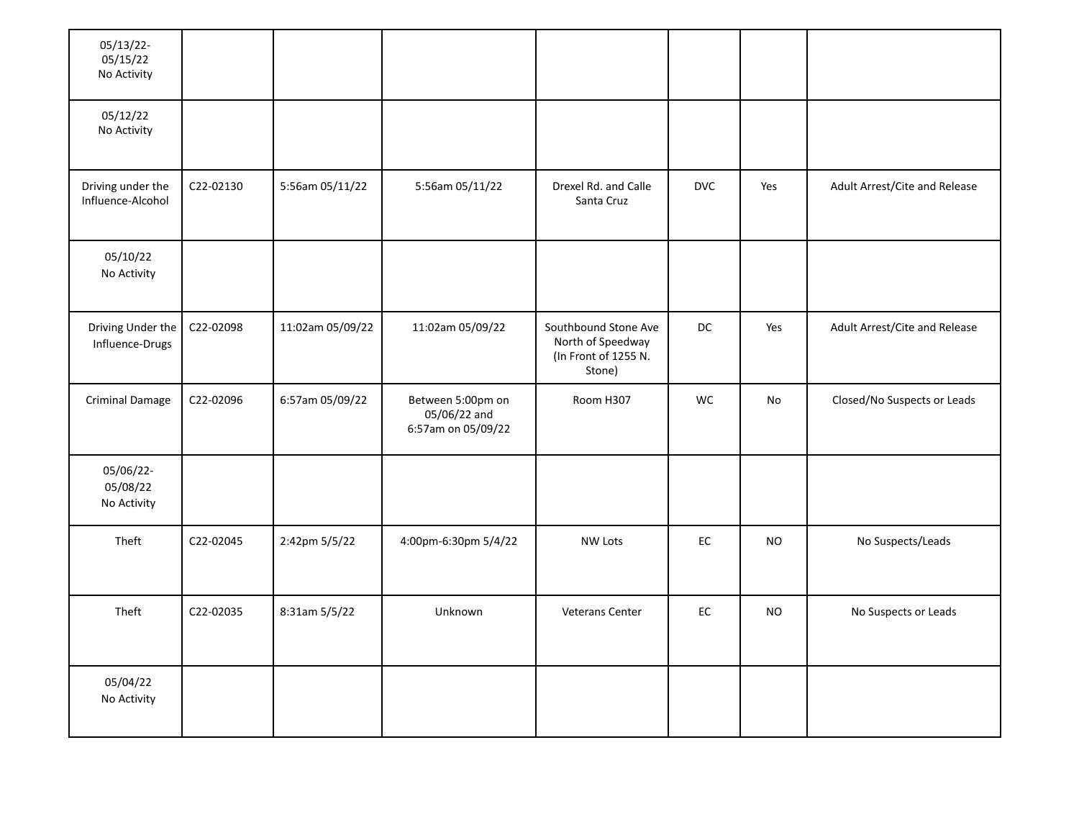| 05/13/22-<br>05/15/22<br>No Activity   |           |                  |                                                         |                                                                             |            |           |                               |
|----------------------------------------|-----------|------------------|---------------------------------------------------------|-----------------------------------------------------------------------------|------------|-----------|-------------------------------|
| 05/12/22<br>No Activity                |           |                  |                                                         |                                                                             |            |           |                               |
| Driving under the<br>Influence-Alcohol | C22-02130 | 5:56am 05/11/22  | 5:56am 05/11/22                                         | Drexel Rd. and Calle<br>Santa Cruz                                          | <b>DVC</b> | Yes       | Adult Arrest/Cite and Release |
| 05/10/22<br>No Activity                |           |                  |                                                         |                                                                             |            |           |                               |
| Driving Under the<br>Influence-Drugs   | C22-02098 | 11:02am 05/09/22 | 11:02am 05/09/22                                        | Southbound Stone Ave<br>North of Speedway<br>(In Front of 1255 N.<br>Stone) | DC         | Yes       | Adult Arrest/Cite and Release |
| <b>Criminal Damage</b>                 | C22-02096 | 6:57am 05/09/22  | Between 5:00pm on<br>05/06/22 and<br>6:57am on 05/09/22 | Room H307                                                                   | <b>WC</b>  | No        | Closed/No Suspects or Leads   |
| 05/06/22-<br>05/08/22<br>No Activity   |           |                  |                                                         |                                                                             |            |           |                               |
| Theft                                  | C22-02045 | 2:42pm 5/5/22    | 4:00pm-6:30pm 5/4/22                                    | <b>NW Lots</b>                                                              | EC         | <b>NO</b> | No Suspects/Leads             |
| Theft                                  | C22-02035 | 8:31am 5/5/22    | Unknown                                                 | Veterans Center                                                             | EC         | <b>NO</b> | No Suspects or Leads          |
| 05/04/22<br>No Activity                |           |                  |                                                         |                                                                             |            |           |                               |